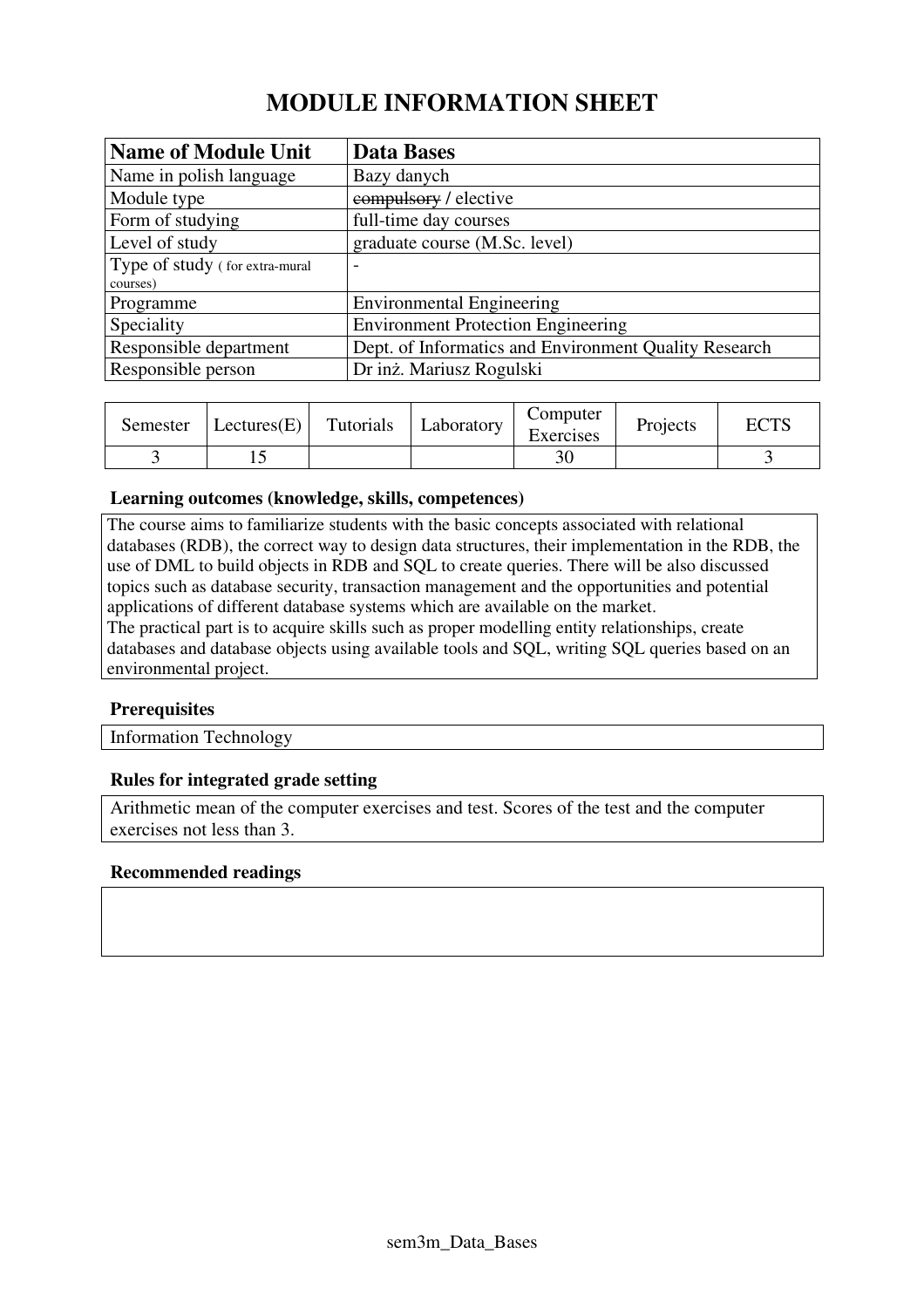# **MODULE INFORMATION SHEET**

| <b>Name of Module Unit</b>     | <b>Data Bases</b>                                     |
|--------------------------------|-------------------------------------------------------|
| Name in polish language        | Bazy danych                                           |
| Module type                    | compulsory / elective                                 |
| Form of studying               | full-time day courses                                 |
| Level of study                 | graduate course (M.Sc. level)                         |
| Type of study (for extra-mural | $\overline{\phantom{0}}$                              |
| courses)                       |                                                       |
| Programme                      | <b>Environmental Engineering</b>                      |
| Speciality                     | <b>Environment Protection Engineering</b>             |
| Responsible department         | Dept. of Informatics and Environment Quality Research |
| Responsible person             | Dr inż. Mariusz Rogulski                              |

| Semester | Lectures(E) | Tutorials | Laboratory | Computer<br>Exercises | Projects | $\Gamma \cap$ TC |
|----------|-------------|-----------|------------|-----------------------|----------|------------------|
|          |             |           |            | 30                    |          |                  |

#### **Learning outcomes (knowledge, skills, competences)**

The course aims to familiarize students with the basic concepts associated with relational databases (RDB), the correct way to design data structures, their implementation in the RDB, the use of DML to build objects in RDB and SQL to create queries. There will be also discussed topics such as database security, transaction management and the opportunities and potential applications of different database systems which are available on the market. The practical part is to acquire skills such as proper modelling entity relationships, create

databases and database objects using available tools and SQL, writing SQL queries based on an environmental project.

#### **Prerequisites**

Information Technology

#### **Rules for integrated grade setting**

Arithmetic mean of the computer exercises and test. Scores of the test and the computer exercises not less than 3.

#### **Recommended readings**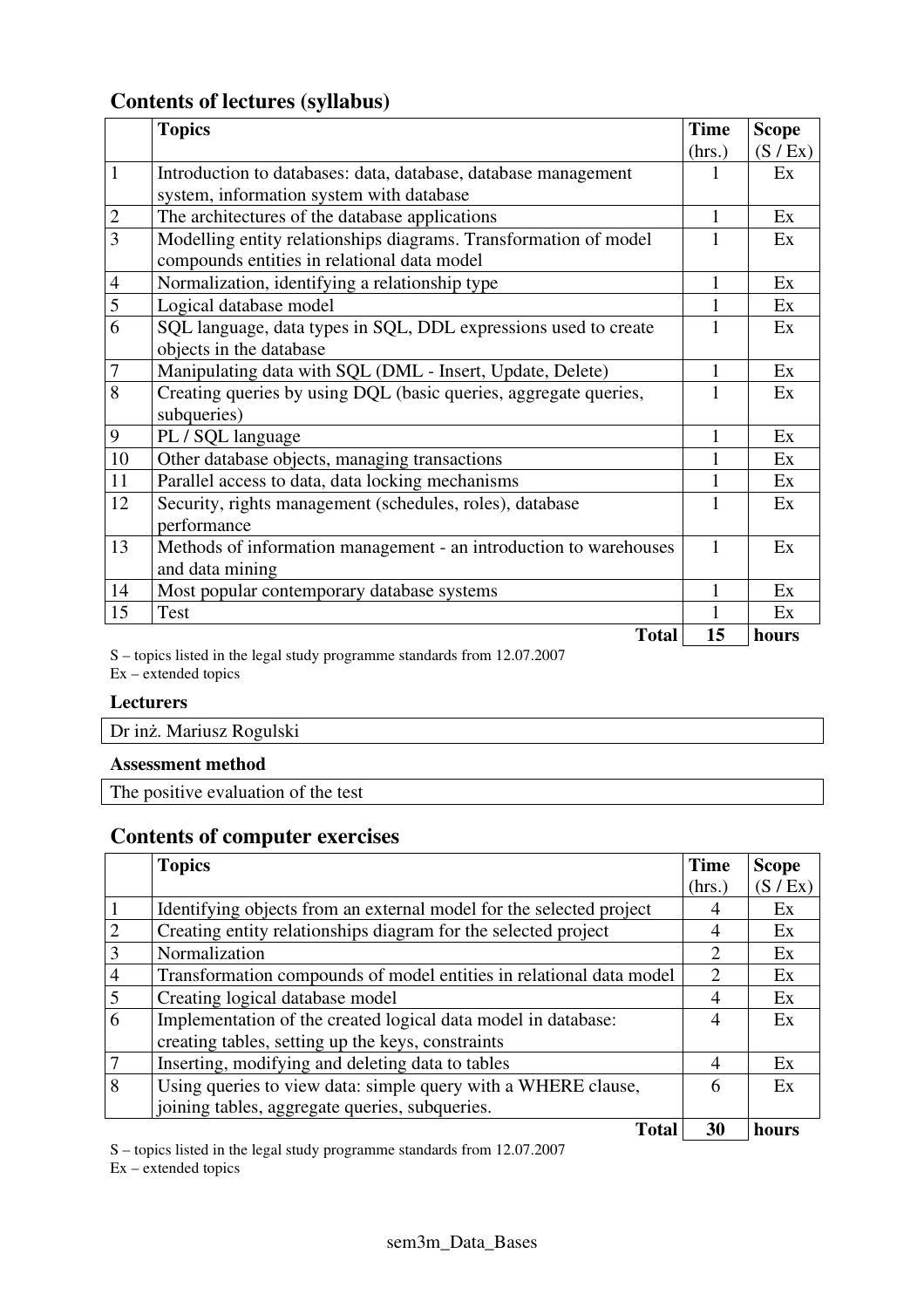## **Contents of lectures (syllabus)**

|                | <b>Topics</b>                                                     | <b>Time</b> | <b>Scope</b> |
|----------------|-------------------------------------------------------------------|-------------|--------------|
|                |                                                                   | (hrs.)      | (S / Ex)     |
| $\mathbf{1}$   | Introduction to databases: data, database, database management    |             | Ex           |
|                | system, information system with database                          |             |              |
| $\overline{2}$ | The architectures of the database applications                    | 1           | Ex           |
| $\overline{3}$ | Modelling entity relationships diagrams. Transformation of model  |             | Ex           |
|                | compounds entities in relational data model                       |             |              |
| 4              | Normalization, identifying a relationship type                    | 1           | Ex           |
| 5              | Logical database model                                            | 1           | Ex           |
| 6              | SQL language, data types in SQL, DDL expressions used to create   | 1           | Ex           |
|                | objects in the database                                           |             |              |
| $\tau$         | Manipulating data with SQL (DML - Insert, Update, Delete)         | 1           | Ex           |
| 8              | Creating queries by using DQL (basic queries, aggregate queries,  |             | Ex           |
|                | subqueries)                                                       |             |              |
| 9              | PL / SQL language                                                 | 1           | Ex           |
| 10             | Other database objects, managing transactions                     |             | Ex           |
| 11             | Parallel access to data, data locking mechanisms                  |             | Ex           |
| 12             | Security, rights management (schedules, roles), database          | 1           | Ex           |
|                | performance                                                       |             |              |
| 13             | Methods of information management - an introduction to warehouses | 1           | Ex           |
|                | and data mining                                                   |             |              |
| 14             | Most popular contemporary database systems                        | 1           | Ex           |
| 15             | Test                                                              |             | Ex           |
|                | <b>Total</b>                                                      | 15          | hours        |

S – topics listed in the legal study programme standards from 12.07.2007

 $Ex -$  extended topics

#### **Lecturers**

| Dr inż. Mariusz Rogulski |  |
|--------------------------|--|
| $\blacksquare$           |  |

### **Assessment method**

The positive evaluation of the test

## **Contents of computer exercises**

|                             | <b>Topics</b>                                                       | <b>Time</b> | <b>Scope</b> |
|-----------------------------|---------------------------------------------------------------------|-------------|--------------|
|                             |                                                                     | (hrs.)      | (S / Ex)     |
|                             | Identifying objects from an external model for the selected project |             | Ex           |
| $\mathcal{D}_{\mathcal{L}}$ | Creating entity relationships diagram for the selected project      | 4           | Ex           |
| 3                           | Normalization                                                       | 2           | Ex           |
| 4                           | Transformation compounds of model entities in relational data model | 2           | Ex           |
| 5                           | Creating logical database model                                     | 4           | Ex           |
| 6                           | Implementation of the created logical data model in database:       | 4           | Ex           |
|                             | creating tables, setting up the keys, constraints                   |             |              |
|                             | Inserting, modifying and deleting data to tables                    | 4           | Ex           |
| 8                           | Using queries to view data: simple query with a WHERE clause,       | 6           | Ex           |
|                             | joining tables, aggregate queries, subqueries.                      |             |              |
|                             | <b>Total</b>                                                        | 30          | hours        |

S – topics listed in the legal study programme standards from 12.07.2007

Ex – extended topics